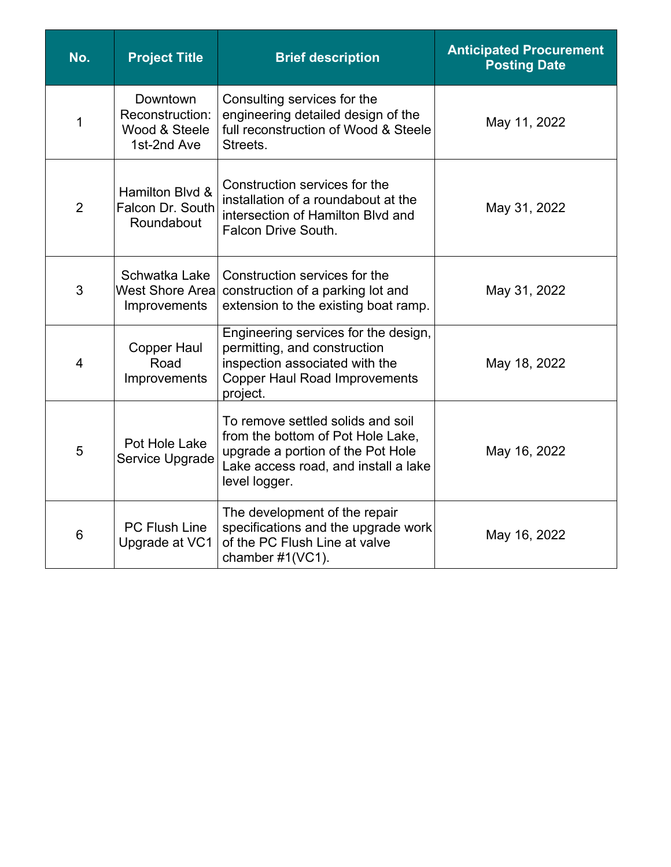| No.            | <b>Project Title</b>                                        | <b>Brief description</b>                                                                                                                                             | <b>Anticipated Procurement</b><br><b>Posting Date</b> |
|----------------|-------------------------------------------------------------|----------------------------------------------------------------------------------------------------------------------------------------------------------------------|-------------------------------------------------------|
| 1              | Downtown<br>Reconstruction:<br>Wood & Steele<br>1st-2nd Ave | Consulting services for the<br>engineering detailed design of the<br>full reconstruction of Wood & Steele<br>Streets.                                                | May 11, 2022                                          |
| $\overline{2}$ | Hamilton Blvd &<br>Falcon Dr. South<br>Roundabout           | Construction services for the<br>installation of a roundabout at the<br>intersection of Hamilton Blvd and<br>Falcon Drive South.                                     | May 31, 2022                                          |
| 3              | Schwatka Lake<br><b>West Shore Area</b><br>Improvements     | Construction services for the<br>construction of a parking lot and<br>extension to the existing boat ramp.                                                           | May 31, 2022                                          |
| 4              | <b>Copper Haul</b><br>Road<br>Improvements                  | Engineering services for the design,<br>permitting, and construction<br>inspection associated with the<br><b>Copper Haul Road Improvements</b><br>project.           | May 18, 2022                                          |
| 5              | Pot Hole Lake<br>Service Upgrade                            | To remove settled solids and soil<br>from the bottom of Pot Hole Lake,<br>upgrade a portion of the Pot Hole<br>Lake access road, and install a lake<br>level logger. | May 16, 2022                                          |
| 6              | <b>PC Flush Line</b><br>Upgrade at VC1                      | The development of the repair<br>specifications and the upgrade work<br>of the PC Flush Line at valve<br>chamber #1(VC1).                                            | May 16, 2022                                          |